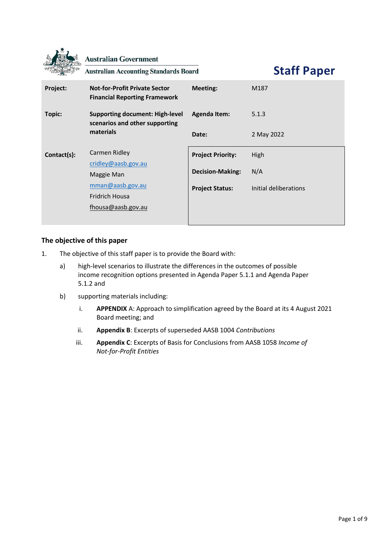|             | <b>Australian Government</b><br><b>Australian Accounting Standards Board</b> | <b>Staff Paper</b>       |                       |  |
|-------------|------------------------------------------------------------------------------|--------------------------|-----------------------|--|
| Project:    | <b>Not-for-Profit Private Sector</b><br><b>Financial Reporting Framework</b> | <b>Meeting:</b>          | M187                  |  |
| Topic:      | <b>Supporting document: High-level</b><br>scenarios and other supporting     | <b>Agenda Item:</b>      | 5.1.3                 |  |
|             | materials                                                                    | Date:                    | 2 May 2022            |  |
| Contact(s): | Carmen Ridley                                                                | <b>Project Priority:</b> | High                  |  |
|             | cridley@aasb.gov.au<br>Maggie Man                                            | <b>Decision-Making:</b>  | N/A                   |  |
|             | mman@aasb.gov.au                                                             | <b>Project Status:</b>   | Initial deliberations |  |
|             | Fridrich Housa                                                               |                          |                       |  |
|             | fhousa@aasb.gov.au                                                           |                          |                       |  |

# **The objective of this paper**

 $\ddot{\phantom{1}}$ 

- 1. The objective of this staff paper is to provide the Board with:
	- a) high-level scenarios to illustrate the differences in the outcomes of possible income recognition options presented in Agenda Paper 5.1.1 and Agenda Paper 5.1.2 and
	- b) supporting materials including:
		- i. **[APPENDIX](#page-5-0)** [A:](#page-5-0) Approach to simplification agreed by the Board at its 4 August 2021 Board meeting; and
		- ii. **[Appendix B](#page-6-0)**: Excerpts of superseded AASB 1004 *Contributions*
		- iii. **[Appendix C](#page-7-0)**: Excerpts of Basis for Conclusions from AASB 1058 *Income of Not-for-Profit Entities*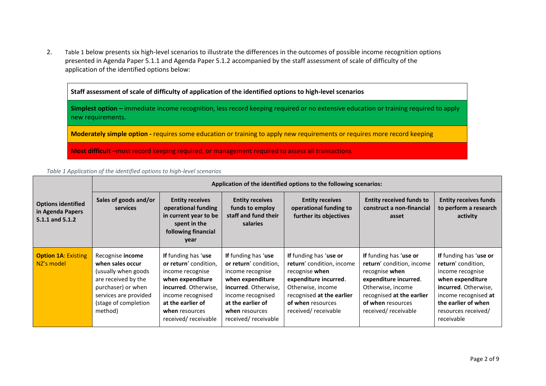2. [Table 1](#page-1-0) below presents six high-level scenarios to illustrate the differences in the outcomes of possible income recognition options presented in Agenda Paper 5.1.1 and Agenda Paper 5.1.2 accompanied by the staff assessment of scale of difficulty of the application of the identified options below:

**Staff assessment of scale of difficulty of application of the identified options to high-level scenarios**

**Simplest option –** immediate income recognition, less record keeping required or no extensive education or training required to apply new requirements.

**Moderately simple option -** requires some education or training to apply new requirements or requires more record keeping

**Most difficult –**most record keeping required, or management required to assess all transactions

<span id="page-1-0"></span>*Table 1 Application of the identified options to high-level scenarios*

|                                                                  | Application of the identified options to the following scenarios:                                                                                                            |                                                                                                                                                                                                 |                                                                                                                                                                                                        |                                                                                                                                                                                              |                                                                                                                                                                                              |                                                                                                                                                                                                  |  |
|------------------------------------------------------------------|------------------------------------------------------------------------------------------------------------------------------------------------------------------------------|-------------------------------------------------------------------------------------------------------------------------------------------------------------------------------------------------|--------------------------------------------------------------------------------------------------------------------------------------------------------------------------------------------------------|----------------------------------------------------------------------------------------------------------------------------------------------------------------------------------------------|----------------------------------------------------------------------------------------------------------------------------------------------------------------------------------------------|--------------------------------------------------------------------------------------------------------------------------------------------------------------------------------------------------|--|
| <b>Options identified</b><br>in Agenda Papers<br>5.1.1 and 5.1.2 | Sales of goods and/or<br><b>services</b>                                                                                                                                     | <b>Entity receives</b><br>operational funding<br>in current year to be<br>spent in the<br>following financial<br>year                                                                           | <b>Entity receives</b><br>funds to employ<br>staff and fund their<br>salaries                                                                                                                          | <b>Entity receives</b><br>operational funding to<br>further its objectives                                                                                                                   | <b>Entity received funds to</b><br>construct a non-financial<br>asset                                                                                                                        | <b>Entity receives funds</b><br>to perform a research<br>activity                                                                                                                                |  |
| <b>Option 1A: Existing</b><br>NZ's model                         | Recognise <b>income</b><br>when sales occur<br>(usually when goods)<br>are received by the<br>purchaser) or when<br>services are provided<br>(stage of completion<br>method) | If funding has 'use<br>or return' condition,<br>income recognise<br>when expenditure<br>incurred. Otherwise,<br>income recognised<br>at the earlier of<br>when resources<br>received/receivable | <b>If</b> funding has 'use<br>or return' condition,<br>income recognise<br>when expenditure<br>incurred. Otherwise,<br>income recognised<br>at the earlier of<br>when resources<br>received/receivable | If funding has 'use or<br>return' condition, income<br>recognise when<br>expenditure incurred.<br>Otherwise, income<br>recognised at the earlier<br>of when resources<br>received/receivable | If funding has 'use or<br>return' condition, income<br>recognise when<br>expenditure incurred.<br>Otherwise, income<br>recognised at the earlier<br>of when resources<br>received/receivable | If funding has 'use or<br>return' condition,<br>income recognise<br>when expenditure<br>incurred. Otherwise,<br>income recognised at<br>the earlier of when<br>resources received/<br>receivable |  |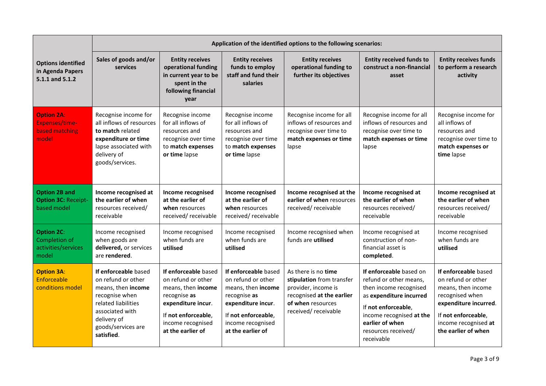|                                                                       | Application of the identified options to the following scenarios:                                                                                                               |                                                                                                                                                                         |                                                                                                                                                                         |                                                                                                                                                  |                                                                                                                                                                                                                   |                                                                                                                                                                                    |  |
|-----------------------------------------------------------------------|---------------------------------------------------------------------------------------------------------------------------------------------------------------------------------|-------------------------------------------------------------------------------------------------------------------------------------------------------------------------|-------------------------------------------------------------------------------------------------------------------------------------------------------------------------|--------------------------------------------------------------------------------------------------------------------------------------------------|-------------------------------------------------------------------------------------------------------------------------------------------------------------------------------------------------------------------|------------------------------------------------------------------------------------------------------------------------------------------------------------------------------------|--|
| <b>Options identified</b><br>in Agenda Papers<br>5.1.1 and 5.1.2      | Sales of goods and/or<br>services                                                                                                                                               | <b>Entity receives</b><br>operational funding<br>in current year to be<br>spent in the<br>following financial<br>year                                                   | <b>Entity receives</b><br>funds to employ<br>staff and fund their<br>salaries                                                                                           | <b>Entity receives</b><br>operational funding to<br>further its objectives                                                                       | <b>Entity received funds to</b><br>construct a non-financial<br>asset                                                                                                                                             | <b>Entity receives funds</b><br>to perform a research<br>activity                                                                                                                  |  |
| <b>Option 2A:</b><br><b>Expenses/time-</b><br>based matching<br>model | Recognise income for<br>all inflows of resources<br>to match related<br>expenditure or time<br>lapse associated with<br>delivery of<br>goods/services.                          | Recognise income<br>for all inflows of<br>resources and<br>recognise over time<br>to match expenses<br>or time lapse                                                    | Recognise income<br>for all inflows of<br>resources and<br>recognise over time<br>to match expenses<br>or time lapse                                                    | Recognise income for all<br>inflows of resources and<br>recognise over time to<br>match expenses or time<br>lapse                                | Recognise income for all<br>inflows of resources and<br>recognise over time to<br>match expenses or time<br>lapse                                                                                                 | Recognise income for<br>all inflows of<br>resources and<br>recognise over time to<br>match expenses or<br>time lapse                                                               |  |
| <b>Option 2B and</b><br><b>Option 3C: Receipt-</b><br>based model     | Income recognised at<br>the earlier of when<br>resources received/<br>receivable                                                                                                | Income recognised<br>at the earlier of<br>when resources<br>received/receivable                                                                                         | Income recognised<br>at the earlier of<br>when resources<br>received/receivable                                                                                         | Income recognised at the<br>earlier of when resources<br>received/receivable                                                                     | Income recognised at<br>the earlier of when<br>resources received/<br>receivable                                                                                                                                  | Income recognised at<br>the earlier of when<br>resources received/<br>receivable                                                                                                   |  |
| <b>Option 2C:</b><br>Completion of<br>activities/services<br>model    | Income recognised<br>when goods are<br>delivered, or services<br>are rendered.                                                                                                  | Income recognised<br>when funds are<br>utilised                                                                                                                         | Income recognised<br>when funds are<br>utilised                                                                                                                         | Income recognised when<br>funds are <b>utilised</b>                                                                                              | Income recognised at<br>construction of non-<br>financial asset is<br>completed.                                                                                                                                  | Income recognised<br>when funds are<br>utilised                                                                                                                                    |  |
| <b>Option 3A:</b><br>Enforceable<br>conditions model                  | If enforceable based<br>on refund or other<br>means, then income<br>recognise when<br>related liabilities<br>associated with<br>delivery of<br>goods/services are<br>satisfied. | If enforceable based<br>on refund or other<br>means, then income<br>recognise as<br>expenditure incur.<br>If not enforceable,<br>income recognised<br>at the earlier of | If enforceable based<br>on refund or other<br>means, then income<br>recognise as<br>expenditure incur.<br>If not enforceable,<br>income recognised<br>at the earlier of | As there is no time<br>stipulation from transfer<br>provider, income is<br>recognised at the earlier<br>of when resources<br>received/receivable | If enforceable based on<br>refund or other means,<br>then income recognised<br>as expenditure incurred<br>If not enforceable,<br>income recognised at the<br>earlier of when<br>resources received/<br>receivable | If enforceable based<br>on refund or other<br>means, then income<br>recognised when<br>expenditure incurred.<br>If not enforceable,<br>income recognised at<br>the earlier of when |  |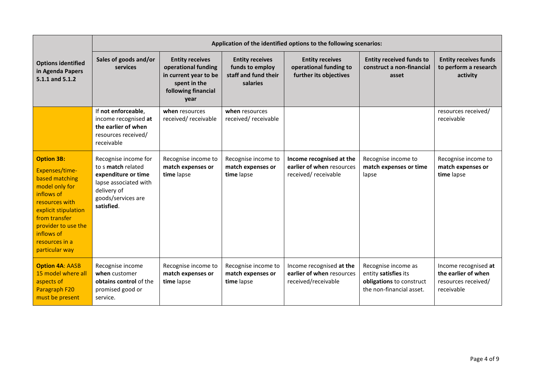|                                                                                                                                                                                                                           | Application of the identified options to the following scenarios:                                                                             |                                                                                                                       |                                                                               |                                                                              |                                                                                                     |                                                                                  |
|---------------------------------------------------------------------------------------------------------------------------------------------------------------------------------------------------------------------------|-----------------------------------------------------------------------------------------------------------------------------------------------|-----------------------------------------------------------------------------------------------------------------------|-------------------------------------------------------------------------------|------------------------------------------------------------------------------|-----------------------------------------------------------------------------------------------------|----------------------------------------------------------------------------------|
| <b>Options identified</b><br>in Agenda Papers<br>5.1.1 and 5.1.2                                                                                                                                                          | Sales of goods and/or<br>services                                                                                                             | <b>Entity receives</b><br>operational funding<br>in current year to be<br>spent in the<br>following financial<br>year | <b>Entity receives</b><br>funds to employ<br>staff and fund their<br>salaries | <b>Entity receives</b><br>operational funding to<br>further its objectives   | <b>Entity received funds to</b><br>construct a non-financial<br>asset                               | <b>Entity receives funds</b><br>to perform a research<br>activity                |
|                                                                                                                                                                                                                           | If not enforceable,<br>income recognised at<br>the earlier of when<br>resources received/<br>receivable                                       | when resources<br>received/receivable                                                                                 | when resources<br>received/receivable                                         |                                                                              |                                                                                                     | resources received/<br>receivable                                                |
| <b>Option 3B:</b><br>Expenses/time-<br>based matching<br>model only for<br>inflows of<br>resources with<br>explicit stipulation<br>from transfer<br>provider to use the<br>inflows of<br>resources in a<br>particular way | Recognise income for<br>to s match related<br>expenditure or time<br>lapse associated with<br>delivery of<br>goods/services are<br>satisfied. | Recognise income to<br>match expenses or<br>time lapse                                                                | Recognise income to<br>match expenses or<br>time lapse                        | Income recognised at the<br>earlier of when resources<br>received/receivable | Recognise income to<br>match expenses or time<br>lapse                                              | Recognise income to<br>match expenses or<br>time lapse                           |
| <b>Option 4A: AASB</b><br>15 model where all<br>aspects of<br>Paragraph F20<br>must be present                                                                                                                            | Recognise income<br>when customer<br>obtains control of the<br>promised good or<br>service.                                                   | Recognise income to<br>match expenses or<br>time lapse                                                                | Recognise income to<br>match expenses or<br>time lapse                        | Income recognised at the<br>earlier of when resources<br>received/receivable | Recognise income as<br>entity satisfies its<br>obligations to construct<br>the non-financial asset. | Income recognised at<br>the earlier of when<br>resources received/<br>receivable |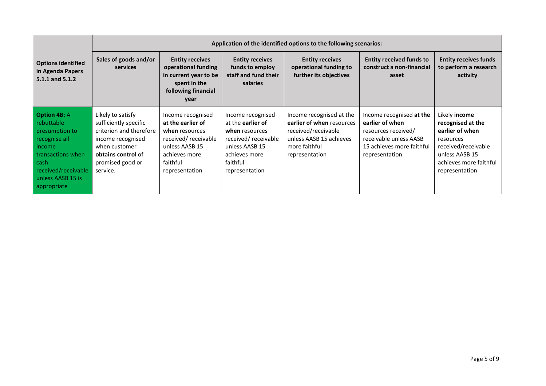|                                                                                                                                                                              | Application of the identified options to the following scenarios:                                                                                                 |                                                                                                                                                  |                                                                                                                                                         |                                                                                                                                            |                                                                                                                                             |                                                                                                                                                         |
|------------------------------------------------------------------------------------------------------------------------------------------------------------------------------|-------------------------------------------------------------------------------------------------------------------------------------------------------------------|--------------------------------------------------------------------------------------------------------------------------------------------------|---------------------------------------------------------------------------------------------------------------------------------------------------------|--------------------------------------------------------------------------------------------------------------------------------------------|---------------------------------------------------------------------------------------------------------------------------------------------|---------------------------------------------------------------------------------------------------------------------------------------------------------|
| <b>Options identified</b><br>in Agenda Papers<br>5.1.1 and 5.1.2                                                                                                             | Sales of goods and/or<br>services                                                                                                                                 | <b>Entity receives</b><br>operational funding<br>in current year to be<br>spent in the<br>following financial<br>year                            | <b>Entity receives</b><br>funds to employ<br>staff and fund their<br>salaries                                                                           | <b>Entity receives</b><br>operational funding to<br>further its objectives                                                                 | <b>Entity received funds to</b><br>construct a non-financial<br>asset                                                                       | <b>Entity receives funds</b><br>to perform a research<br>activity                                                                                       |
| <b>Option 4B: A</b><br>rebuttable<br>presumption to<br>recognise all<br>income<br>l transactions when<br>  cash<br>received/receivable<br>unless AASB 15 is<br>  appropriate | Likely to satisfy<br>sufficiently specific<br>criterion and therefore<br>income recognised<br>when customer<br>obtains control of<br>promised good or<br>service. | Income recognised<br>at the earlier of<br>when resources<br>received/receivable<br>unless AASB 15<br>achieves more<br>faithful<br>representation | Income recognised<br>at the <b>earlier of</b><br>when resources<br>received/receivable<br>unless AASB 15<br>achieves more<br>faithful<br>representation | Income recognised at the<br>earlier of when resources<br>received/receivable<br>unless AASB 15 achieves<br>more faithful<br>representation | Income recognised at the<br>earlier of when<br>resources received/<br>receivable unless AASB<br>15 achieves more faithful<br>representation | Likely income<br>recognised at the<br>earlier of when<br>resources<br>received/receivable<br>unless AASB 15<br>achieves more faithful<br>representation |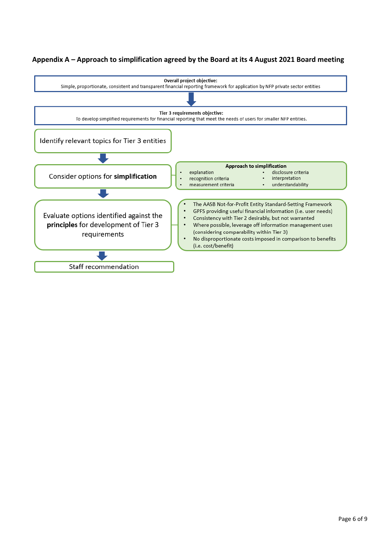# <span id="page-5-0"></span>**Appendix A – Approach to simplification agreed by the Board at its 4 August 2021 Board meeting**

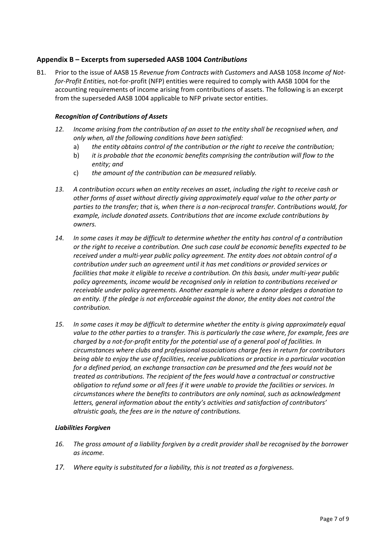## <span id="page-6-0"></span>**Appendix B – Excerpts from superseded AASB 1004** *Contributions*

B1. Prior to the issue of AASB 15 *Revenue from Contracts with Customers* and AASB 1058 *Income of Notfor-Profit Entities,* not-for-profit (NFP) entities were required to comply with AASB 1004 for the accounting requirements of income arising from contributions of assets. The following is an excerpt from the superseded AASB 1004 applicable to NFP private sector entities.

#### *Recognition of Contributions of Assets*

- *12. Income arising from the contribution of an asset to the entity shall be recognised when, and only when, all the following conditions have been satisfied:* 
	- a) *the entity obtains control of the contribution or the right to receive the contribution;*
	- b) *it is probable that the economic benefits comprising the contribution will flow to the entity; and*
	- c) *the amount of the contribution can be measured reliably.*
- *13. A contribution occurs when an entity receives an asset, including the right to receive cash or other forms of asset without directly giving approximately equal value to the other party or parties to the transfer; that is, when there is a non-reciprocal transfer. Contributions would, for example, include donated assets. Contributions that are income exclude contributions by owners.*
- *14. In some cases it may be difficult to determine whether the entity has control of a contribution or the right to receive a contribution. One such case could be economic benefits expected to be received under a multi-year public policy agreement. The entity does not obtain control of a contribution under such an agreement until it has met conditions or provided services or facilities that make it eligible to receive a contribution. On this basis, under multi-year public policy agreements, income would be recognised only in relation to contributions received or receivable under policy agreements. Another example is where a donor pledges a donation to an entity. If the pledge is not enforceable against the donor, the entity does not control the contribution.*
- *15. In some cases it may be difficult to determine whether the entity is giving approximately equal value to the other parties to a transfer. This is particularly the case where, for example, fees are charged by a not-for-profit entity for the potential use of a general pool of facilities. In circumstances where clubs and professional associations charge fees in return for contributors being able to enjoy the use of facilities, receive publications or practice in a particular vocation for a defined period, an exchange transaction can be presumed and the fees would not be treated as contributions. The recipient of the fees would have a contractual or constructive obligation to refund some or all fees if it were unable to provide the facilities or services. In circumstances where the benefits to contributors are only nominal, such as acknowledgment letters, general information about the entity's activities and satisfaction of contributors' altruistic goals, the fees are in the nature of contributions.*

#### *Liabilities Forgiven*

- *16. The gross amount of a liability forgiven by a credit provider shall be recognised by the borrower as income.*
- *17. Where equity is substituted for a liability, this is not treated as a forgiveness.*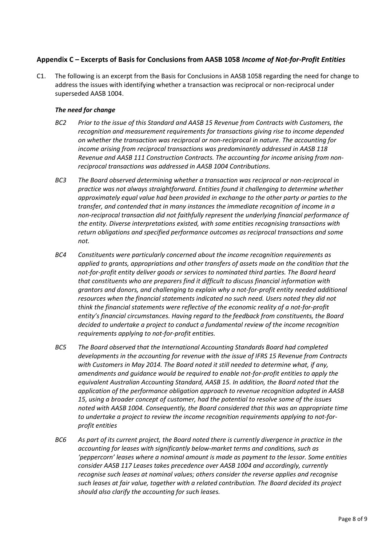## <span id="page-7-0"></span>**Appendix C – Excerpts of Basis for Conclusions from AASB 1058** *Income of Not-for-Profit Entities*

C1. The following is an excerpt from the Basis for Conclusions in AASB 1058 regarding the need for change to address the issues with identifying whether a transaction was reciprocal or non-reciprocal under superseded AASB 1004.

### *The need for change*

- *BC2 Prior to the issue of this Standard and AASB 15 Revenue from Contracts with Customers, the recognition and measurement requirements for transactions giving rise to income depended on whether the transaction was reciprocal or non-reciprocal in nature. The accounting for income arising from reciprocal transactions was predominantly addressed in AASB 118 Revenue and AASB 111 Construction Contracts. The accounting for income arising from nonreciprocal transactions was addressed in AASB 1004 Contributions.*
- *BC3 The Board observed determining whether a transaction was reciprocal or non-reciprocal in practice was not always straightforward. Entities found it challenging to determine whether approximately equal value had been provided in exchange to the other party or parties to the transfer, and contended that in many instances the immediate recognition of income in a non-reciprocal transaction did not faithfully represent the underlying financial performance of the entity. Diverse interpretations existed, with some entities recognising transactions with return obligations and specified performance outcomes as reciprocal transactions and some not.*
- *BC4 Constituents were particularly concerned about the income recognition requirements as applied to grants, appropriations and other transfers of assets made on the condition that the not-for-profit entity deliver goods or services to nominated third parties. The Board heard that constituents who are preparers find it difficult to discuss financial information with grantors and donors, and challenging to explain why a not-for-profit entity needed additional resources when the financial statements indicated no such need. Users noted they did not think the financial statements were reflective of the economic reality of a not-for-profit entity's financial circumstances. Having regard to the feedback from constituents, the Board decided to undertake a project to conduct a fundamental review of the income recognition requirements applying to not-for-profit entities.*
- *BC5 The Board observed that the International Accounting Standards Board had completed developments in the accounting for revenue with the issue of IFRS 15 Revenue from Contracts with Customers in May 2014. The Board noted it still needed to determine what, if any, amendments and guidance would be required to enable not-for-profit entities to apply the equivalent Australian Accounting Standard, AASB 15. In addition, the Board noted that the application of the performance obligation approach to revenue recognition adopted in AASB 15, using a broader concept of customer, had the potential to resolve some of the issues noted with AASB 1004. Consequently, the Board considered that this was an appropriate time to undertake a project to review the income recognition requirements applying to not-forprofit entities*
- *BC6 As part of its current project, the Board noted there is currently divergence in practice in the accounting for leases with significantly below-market terms and conditions, such as 'peppercorn' leases where a nominal amount is made as payment to the lessor. Some entities consider AASB 117 Leases takes precedence over AASB 1004 and accordingly, currently recognise such leases at nominal values; others consider the reverse applies and recognise such leases at fair value, together with a related contribution. The Board decided its project should also clarify the accounting for such leases.*